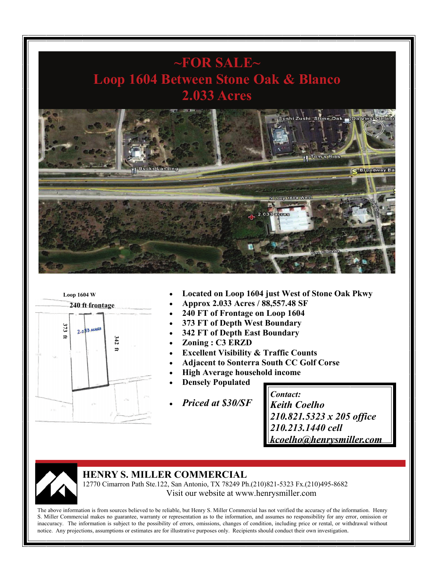# **~FOR SALE~ Loop 1604 Between Stone Oak & Blanco 2.033 Acres**





- **Located on Loop 1604 just West of Stone Oak Pkwy**
- **Approx 2.033 Acres / 88,557.48 SF**
- **240 FT of Frontage on Loop 1604**
- **373 FT of Depth West Boundary**
- **342 FT of Depth East Boundary**
- **Zoning : C3 ERZD**
- **Excellent Visibility & Traffic Counts**
- **Adjacent to Sonterra South CC Golf Corse**
- **High Average household income**
- **Densely Populated**
- *Priced at \$30/SF*

*Contact: Keith Coelho 210.821.5323 x 205 office 210.213.1440 cell kcoelho@henrysmiller.com* 

## **HENRY S. MILLER COMMERCIAL**

12770 Cimarron Path Ste.122, San Antonio, TX 78249 Ph.(210)821-5323 Fx.(210)495-8682 Visit our website at www.henrysmiller.com

The above information is from sources believed to be reliable, but Henry S. Miller Commercial has not verified the accuracy of the information. Henry S. Miller Commercial makes no guarantee, warranty or representation as to the information, and assumes no responsibility for any error, omission or inaccuracy. The information is subject to the possibility of errors, omissions, changes of condition, including price or rental, or withdrawal without notice. Any projections, assumptions or estimates are for illustrative purposes only. Recipients should conduct their own investigation.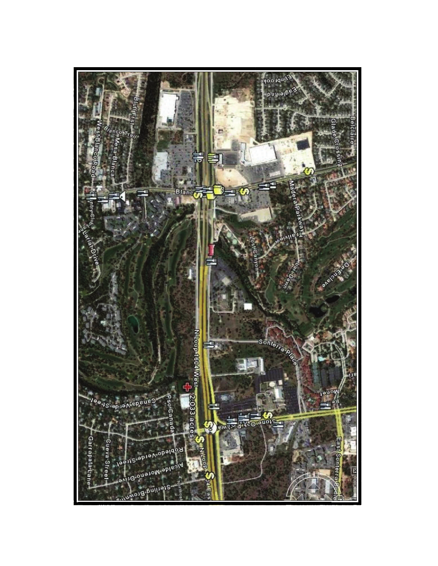